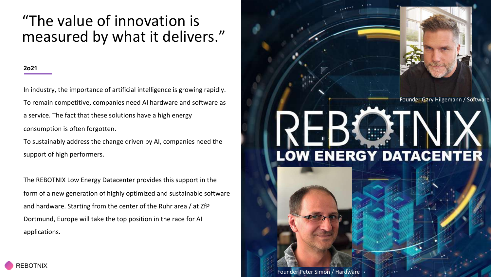## "The value of innovation is measured by what it delivers."

#### **2o21**

In industry, the importance of artificial intelligence is growing rapidly. To remain competitive, companies need AI hardware and software as a service. The fact that these solutions have a high energy consumption is often forgotten.

To sustainably address the change driven by AI, companies need the support of high performers.

The REBOTNIX Low Energy Datacenter provides this support in the form of a new generation of highly optimized and sustainable software and hardware. Starting from the center of the Ruhr area / at ZfP Dortmund, Europe will take the top position in the race for AI applications.

### Founder Gary Hilgemann / Software

# **LOW ENERGY DATACENTER**

Founder Peter Simon / Hardware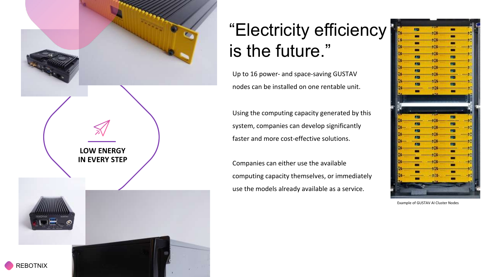

## "Electricity efficiency is the future."

Up to 16 power- and space-saving GUSTAV nodes can be installed on one rentable unit.

Using the computing capacity generated by this system, companies can develop significantly faster and more cost-effective solutions.

Companies can either use the available computing capacity themselves, or immediately use the models already available as a service.



Example of GUSTAV AI Cluster Nodes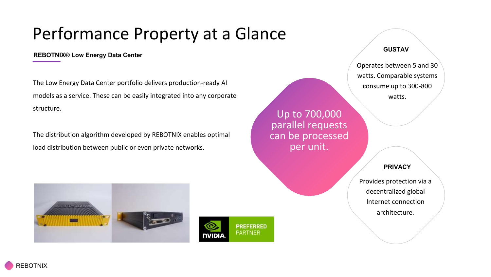## Performance Property at a Glance

#### **REBOTNIX® Low Energy Data Center**

The Low Energy Data Center portfolio delivers production-ready AI models as a service. These can be easily integrated into any corporate structure.

The distribution algorithm developed by REBOTNIX enables optimal load distribution between public or even private networks.

Up to 700,000 parallel requests can be processed per unit.

#### **GUSTAV**

Operates between 5 and 30 watts. Comparable systems consume up to 300-800 watts.

**PRIVACY**

Provides protection via a decentralized global Internet connection architecture.



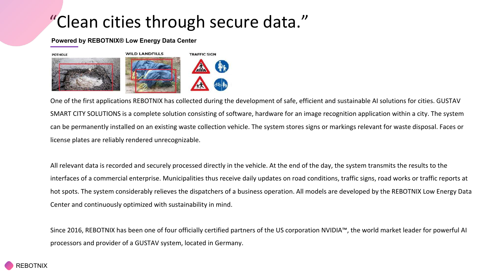## "Clean cities through secure data."

#### **Powered by REBOTNIX® Low Energy Data Center**



One of the first applications REBOTNIX has collected during the development of safe, efficient and sustainable AI solutions for cities. GUSTAV SMART CITY SOLUTIONS is a complete solution consisting of software, hardware for an image recognition application within a city. The system can be permanently installed on an existing waste collection vehicle. The system stores signs or markings relevant for waste disposal. Faces or license plates are reliably rendered unrecognizable.

All relevant data is recorded and securely processed directly in the vehicle. At the end of the day, the system transmits the results to the interfaces of a commercial enterprise. Municipalities thus receive daily updates on road conditions, traffic signs, road works or traffic reports at hot spots. The system considerably relieves the dispatchers of a business operation. All models are developed by the REBOTNIX Low Energy Data Center and continuously optimized with sustainability in mind.

Since 2016, REBOTNIX has been one of four officially certified partners of the US corporation NVIDIA™, the world market leader for powerful AI processors and provider of a GUSTAV system, located in Germany.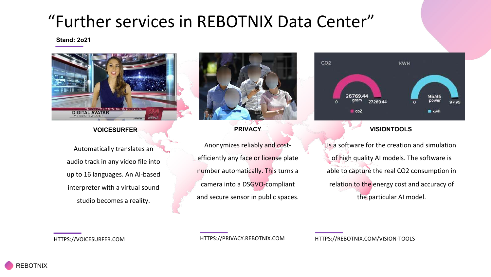## "Further services in REBOTNIX Data Center"

#### **Stand: 2o21**



#### **VOICESURFER**

Automatically translates an audio track in any video file into up to 16 languages. An AI-based interpreter with a virtual sound studio becomes a reality.

**PRIVACY** Anonymizes reliably and costefficiently any face or license plate number automatically. This turns a camera into a DSGVO-compliant

and secure sensor in public spaces.



#### **VISIONTOOLS**

Is a software for the creation and simulation of high quality AI models. The software is able to capture the real CO2 consumption in relation to the energy cost and accuracy of the particular AI model.

HTTPS://VOICESURFER.COM HTTPS://PRIVACY.REBOTNIX.COM HTTPS://REBOTNIX.COM/VISION-TOOLS

**EBOTNIX**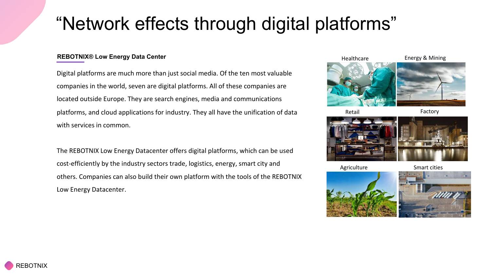## "Network effects through digital platforms"

#### **REBOTNIX® Low Energy Data Center**

Digital platforms are much more than just social media. Of the ten most valuable companies in the world, seven are digital platforms. All of these companies are located outside Europe. They are search engines, media and communications platforms, and cloud applications for industry. They all have the unification of data with services in common.

The REBOTNIX Low Energy Datacenter offers digital platforms, which can be used cost-efficiently by the industry sectors trade, logistics, energy, smart city and others. Companies can also build their own platform with the tools of the REBOTNIX Low Energy Datacenter.







Agriculture

Smart cities

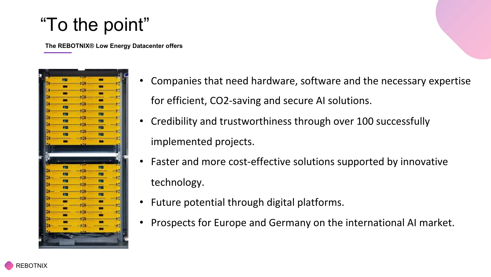## "To the point"

**The REBOTNIX® Low Energy Datacenter offers**



- Companies that need hardware, software and the necessary expertise for efficient, CO2-saving and secure AI solutions.
- Credibility and trustworthiness through over 100 successfully implemented projects.
- Faster and more cost-effective solutions supported by innovative technology.
- Future potential through digital platforms.
- Prospects for Europe and Germany on the international AI market.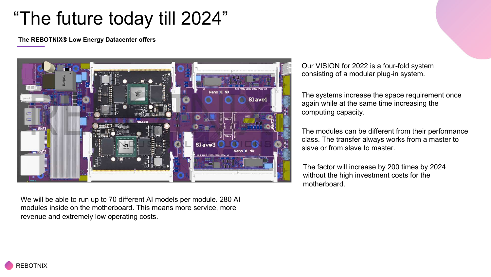## "The future today till 2024"

**The REBOTNIX® Low Energy Datacenter offers**



We will be able to run up to 70 different AI models per module. 280 AI modules inside on the motherboard. This means more service, more revenue and extremely low operating costs.

Our VISION for 2022 is a four-fold system consisting of a modular plug-in system.

The systems increase the space requirement once again while at the same time increasing the computing capacity.

The modules can be different from their performance class. The transfer always works from a master to slave or from slave to master.

The factor will increase by 200 times by 2024 without the high investment costs for the motherboard.